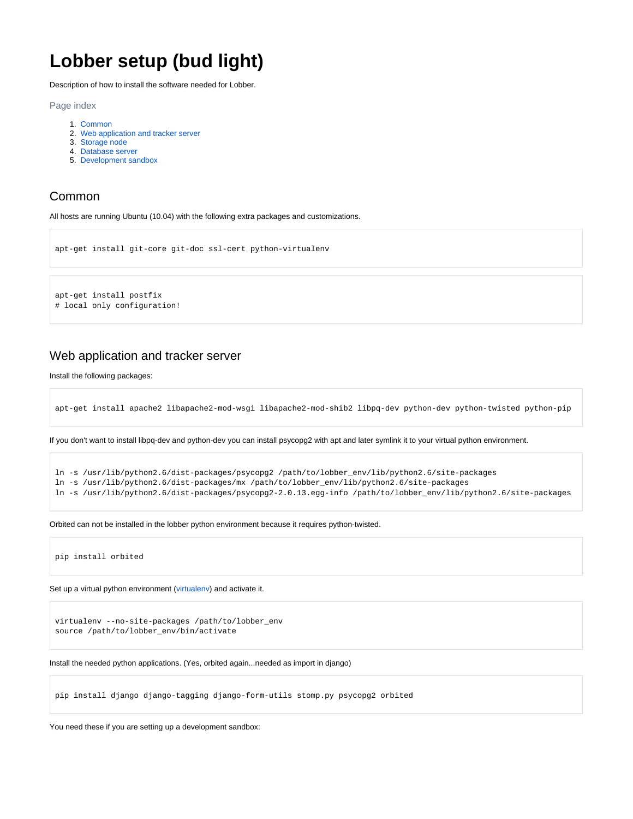# **Lobber setup (bud light)**

Description of how to install the software needed for Lobber.

Page index

- 1. [Common](#page-0-0)
- 2. [Web application and tracker server](#page-0-1)
- 3. [Storage node](#page-4-0)
- 4. [Database server](#page-4-1)
- 5. [Development sandbox](#page-4-2)

## <span id="page-0-0"></span>Common

All hosts are running Ubuntu (10.04) with the following extra packages and customizations.

```
apt-get install git-core git-doc ssl-cert python-virtualenv
apt-get install postfix
# local only configuration!
```
## <span id="page-0-1"></span>Web application and tracker server

Install the following packages:

```
apt-get install apache2 libapache2-mod-wsgi libapache2-mod-shib2 libpq-dev python-dev python-twisted python-pip
```
If you don't want to install libpq-dev and python-dev you can install psycopg2 with apt and later symlink it to your virtual python environment.

```
ln -s /usr/lib/python2.6/dist-packages/psycopg2 /path/to/lobber_env/lib/python2.6/site-packages
```
- ln -s /usr/lib/python2.6/dist-packages/mx /path/to/lobber\_env/lib/python2.6/site-packages
- ln -s /usr/lib/python2.6/dist-packages/psycopg2-2.0.13.egg-info /path/to/lobber\_env/lib/python2.6/site-packages

Orbited can not be installed in the lobber python environment because it requires python-twisted.

pip install orbited

Set up a virtual python environment ([virtualenv\)](http://pypi.python.org/pypi/virtualenv) and activate it.

virtualenv --no-site-packages /path/to/lobber\_env source /path/to/lobber\_env/bin/activate

Install the needed python applications. (Yes, orbited again...needed as import in django)

pip install django django-tagging django-form-utils stomp.py psycopg2 orbited

You need these if you are setting up a development sandbox: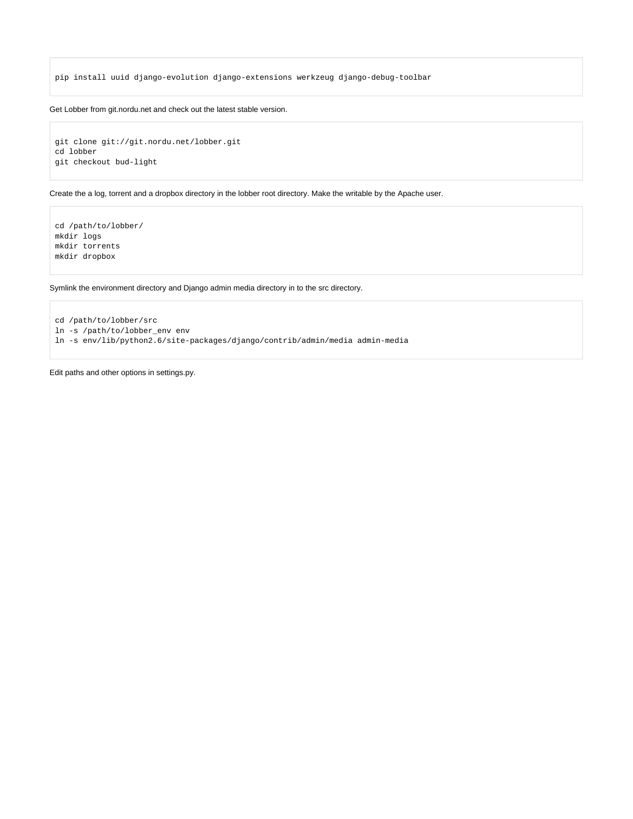pip install uuid django-evolution django-extensions werkzeug django-debug-toolbar

#### Get Lobber from git.nordu.net and check out the latest stable version.

```
git clone git://git.nordu.net/lobber.git
cd lobber
git checkout bud-light
```
Create the a log, torrent and a dropbox directory in the lobber root directory. Make the writable by the Apache user.

cd /path/to/lobber/ mkdir logs mkdir torrents mkdir dropbox

Symlink the environment directory and Django admin media directory in to the src directory.

cd /path/to/lobber/src ln -s /path/to/lobber\_env env ln -s env/lib/python2.6/site-packages/django/contrib/admin/media admin-media

Edit paths and other options in settings.py.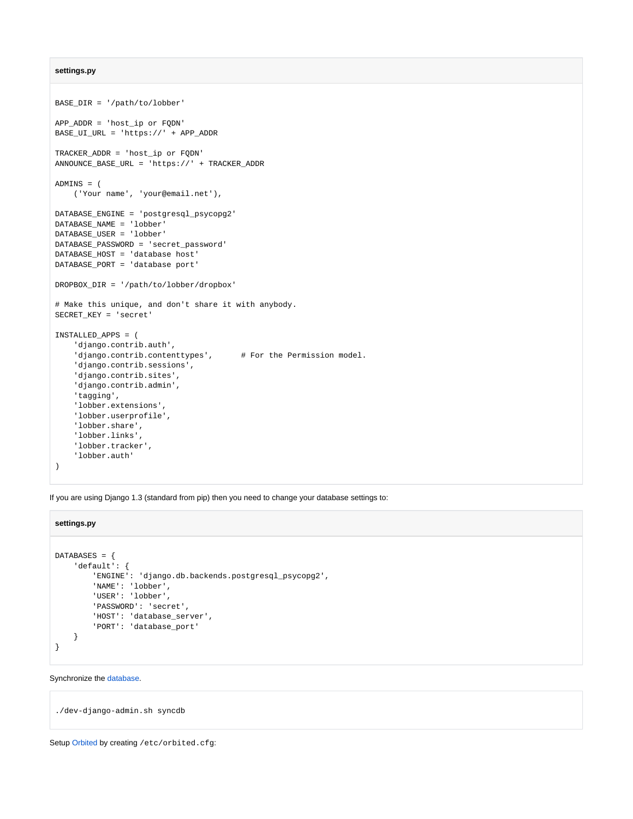#### **settings.py**

```
BASE_DIR = '/path/to/lobber'
APP_ADDR = 'host_ip or FQDN'
BASE_UI_URL = 'https://' + APP_ADDR
TRACKER_ADDR = 'host_ip or FQDN'
ANNOUNCE_BASE_URL = 'https://' + TRACKER_ADDR
ADMINS = (
    ('Your name', 'your@email.net'),
DATABASE_ENGINE = 'postgresql_psycopg2'
DATABASE_NAME = 'lobber'
DATABASE_USER = 'lobber'
DATABASE_PASSWORD = 'secret_password'
DATABASE_HOST = 'database host'
DATABASE_PORT = 'database port'
DROPBOX_DIR = '/path/to/lobber/dropbox'
# Make this unique, and don't share it with anybody.
SECRET_KEY = 'secret'
INSTALLED_APPS = (
     'django.contrib.auth',
    'django.contrib.contenttypes', # For the Permission model.
     'django.contrib.sessions',
    'django.contrib.sites',
    'django.contrib.admin',
    'tagging',
    'lobber.extensions',
     'lobber.userprofile',
     'lobber.share',
     'lobber.links',
     'lobber.tracker',
     'lobber.auth'
\lambda
```
If you are using Django 1.3 (standard from pip) then you need to change your database settings to:

#### DATABASES = { 'default': { 'ENGINE': 'django.db.backends.postgresql\_psycopg2', 'NAME': 'lobber', 'USER': 'lobber', 'PASSWORD': 'secret', 'HOST': 'database\_server', 'PORT': 'database\_port' } }

Synchronize the [database.](#page-4-1)

**settings.py**

./dev-django-admin.sh syncdb

Setup [Orbited](http://orbited.org) by creating /etc/orbited.cfg: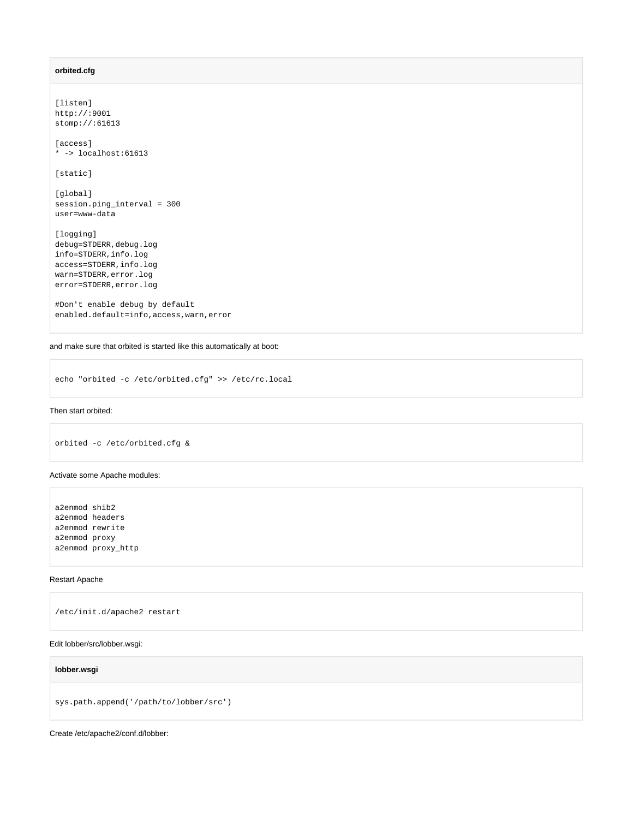#### **orbited.cfg**

[listen] http://:9001 stomp://:61613

[access] \* -> localhost:61613

[static]

[global] session.ping\_interval = 300 user=www-data

[logging] debug=STDERR,debug.log info=STDERR,info.log access=STDERR,info.log warn=STDERR,error.log error=STDERR,error.log

#Don't enable debug by default enabled.default=info,access,warn,error

#### and make sure that orbited is started like this automatically at boot:

```
echo "orbited -c /etc/orbited.cfg" >> /etc/rc.local
```
#### Then start orbited:

orbited -c /etc/orbited.cfg &

#### Activate some Apache modules:

a2enmod shib2 a2enmod headers a2enmod rewrite a2enmod proxy a2enmod proxy\_http

#### Restart Apache

/etc/init.d/apache2 restart

#### Edit lobber/src/lobber.wsgi:

#### **lobber.wsgi**

sys.path.append('/path/to/lobber/src')

Create /etc/apache2/conf.d/lobber: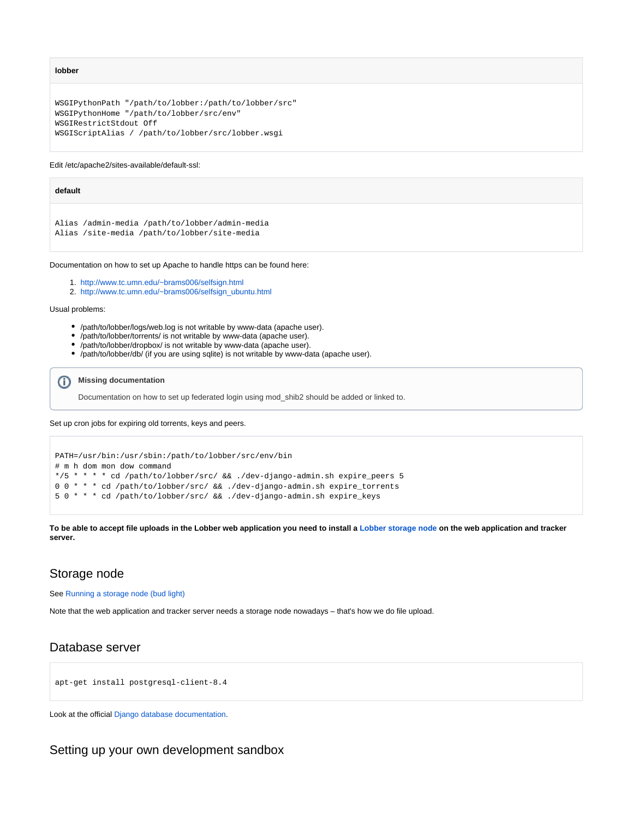#### **lobber**

```
WSGIPythonPath "/path/to/lobber:/path/to/lobber/src"
WSGIPythonHome "/path/to/lobber/src/env"
WSGIRestrictStdout Off
WSGIScriptAlias / /path/to/lobber/src/lobber.wsgi
```
#### Edit /etc/apache2/sites-available/default-ssl:

## **default** Alias /admin-media /path/to/lobber/admin-media Alias /site-media /path/to/lobber/site-media

#### Documentation on how to set up Apache to handle https can be found here:

- 1. <http://www.tc.umn.edu/~brams006/selfsign.html>
- 2. [http://www.tc.umn.edu/~brams006/selfsign\\_ubuntu.html](http://www.tc.umn.edu/~brams006/selfsign_ubuntu.html)

Usual problems:

- /path/to/lobber/logs/web.log is not writable by www-data (apache user).
- /path/to/lobber/torrents/ is not writable by www-data (apache user).
- /path/to/lobber/dropbox/ is not writable by www-data (apache user).
- /path/to/lobber/db/ (if you are using sqlite) is not writable by www-data (apache user).

**Missing documentation** O)

Documentation on how to set up federated login using mod\_shib2 should be added or linked to.

Set up cron jobs for expiring old torrents, keys and peers.

```
PATH=/usr/bin:/usr/sbin:/path/to/lobber/src/env/bin
# m h dom mon dow command
*/5 * * * * cd /path/to/lobber/src/ && ./dev-django-admin.sh expire_peers 5
0 0 * * * cd /path/to/lobber/src/ && ./dev-django-admin.sh expire_torrents
5 0 * * * cd /path/to/lobber/src/ && ./dev-django-admin.sh expire_keys
```
**To be able to accept file uploads in the Lobber web application you need to install a [Lobber storage node](#page-4-0) on the web application and tracker server.**

### <span id="page-4-0"></span>Storage node

See [Running a storage node \(bud light\)](https://portal.nordu.net/pages/viewpage.action?pageId=25854506)

<span id="page-4-1"></span>Note that the web application and tracker server needs a storage node nowadays – that's how we do file upload.

## Database server

apt-get install postgresql-client-8.4

<span id="page-4-2"></span>Look at the official [Django database documentation.](http://docs.djangoproject.com/en/dev/topics/install/#database-installation)

## Setting up your own development sandbox